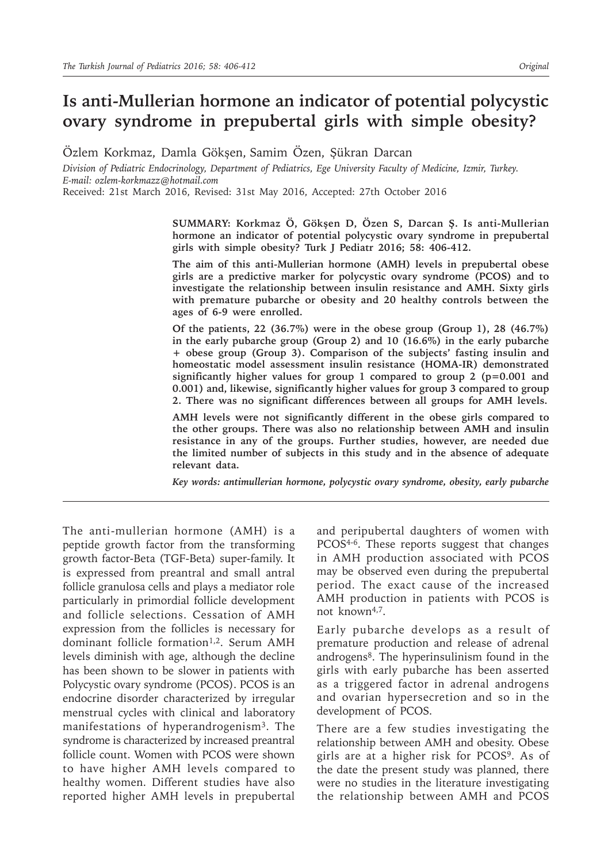# **Is anti-Mullerian hormone an indicator of potential polycystic ovary syndrome in prepubertal girls with simple obesity?**

Özlem Korkmaz, Damla Gökşen, Samim Özen, Şükran Darcan

*Division of Pediatric Endocrinology, Department of Pediatrics, Ege University Faculty of Medicine, Izmir, Turkey. E-mail: ozlem-korkmazz@hotmail.com*

Received: 21st March 2016, Revised: 31st May 2016, Accepted: 27th October 2016

**SUMMARY: Korkmaz Ö, Gökşen D, Özen S, Darcan Ş. Is anti-Mullerian hormone an indicator of potential polycystic ovary syndrome in prepubertal girls with simple obesity? Turk J Pediatr 2016; 58: 406-412.**

**The aim of this anti-Mullerian hormone (AMH) levels in prepubertal obese girls are a predictive marker for polycystic ovary syndrome (PCOS) and to investigate the relationship between insulin resistance and AMH. Sixty girls with premature pubarche or obesity and 20 healthy controls between the ages of 6-9 were enrolled.**

**Of the patients, 22 (36.7%) were in the obese group (Group 1), 28 (46.7%) in the early pubarche group (Group 2) and 10 (16.6%) in the early pubarche + obese group (Group 3). Comparison of the subjects' fasting insulin and homeostatic model assessment insulin resistance (HOMA-IR) demonstrated significantly higher values for group 1 compared to group 2 (p=0.001 and 0.001) and, likewise, significantly higher values for group 3 compared to group 2. There was no significant differences between all groups for AMH levels.**

**AMH levels were not significantly different in the obese girls compared to the other groups. There was also no relationship between AMH and insulin resistance in any of the groups. Further studies, however, are needed due the limited number of subjects in this study and in the absence of adequate relevant data.** 

*Key words: antimullerian hormone, polycystic ovary syndrome, obesity, early pubarche*

The anti-mullerian hormone (AMH) is a peptide growth factor from the transforming growth factor-Beta (TGF-Beta) super-family. It is expressed from preantral and small antral follicle granulosa cells and plays a mediator role particularly in primordial follicle development and follicle selections. Cessation of AMH expression from the follicles is necessary for dominant follicle formation<sup>1,2</sup>. Serum AMH levels diminish with age, although the decline has been shown to be slower in patients with Polycystic ovary syndrome (PCOS). PCOS is an endocrine disorder characterized by irregular menstrual cycles with clinical and laboratory manifestations of hyperandrogenism<sup>3</sup>. The syndrome is characterized by increased preantral follicle count. Women with PCOS were shown to have higher AMH levels compared to healthy women. Different studies have also reported higher AMH levels in prepubertal

and peripubertal daughters of women with PCOS<sup>4-6</sup>. These reports suggest that changes in AMH production associated with PCOS may be observed even during the prepubertal period. The exact cause of the increased AMH production in patients with PCOS is not known<sup>4,7</sup>.

Early pubarche develops as a result of premature production and release of adrenal androgens8. The hyperinsulinism found in the girls with early pubarche has been asserted as a triggered factor in adrenal androgens and ovarian hypersecretion and so in the development of PCOS.

There are a few studies investigating the relationship between AMH and obesity. Obese girls are at a higher risk for PCOS9. As of the date the present study was planned, there were no studies in the literature investigating the relationship between AMH and PCOS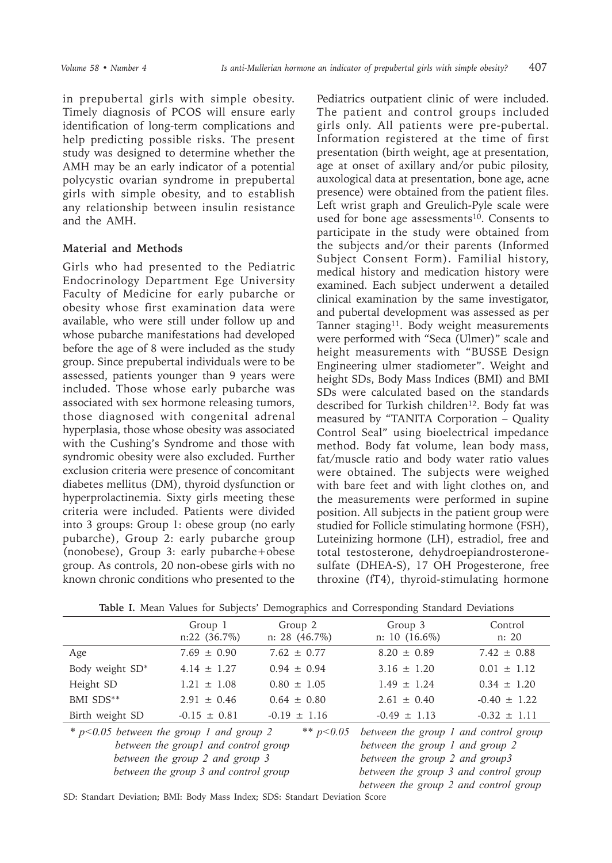in prepubertal girls with simple obesity. Timely diagnosis of PCOS will ensure early identification of long-term complications and help predicting possible risks. The present study was designed to determine whether the AMH may be an early indicator of a potential polycystic ovarian syndrome in prepubertal girls with simple obesity, and to establish any relationship between insulin resistance and the AMH.

#### **Material and Methods**

Girls who had presented to the Pediatric Endocrinology Department Ege University Faculty of Medicine for early pubarche or obesity whose first examination data were available, who were still under follow up and whose pubarche manifestations had developed before the age of 8 were included as the study group. Since prepubertal individuals were to be assessed, patients younger than 9 years were included. Those whose early pubarche was associated with sex hormone releasing tumors, those diagnosed with congenital adrenal hyperplasia, those whose obesity was associated with the Cushing's Syndrome and those with syndromic obesity were also excluded. Further exclusion criteria were presence of concomitant diabetes mellitus (DM), thyroid dysfunction or hyperprolactinemia. Sixty girls meeting these criteria were included. Patients were divided into 3 groups: Group 1: obese group (no early pubarche), Group 2: early pubarche group (nonobese), Group 3: early pubarche+obese group. As controls, 20 non-obese girls with no known chronic conditions who presented to the

Pediatrics outpatient clinic of were included. The patient and control groups included girls only. All patients were pre-pubertal. Information registered at the time of first presentation (birth weight, age at presentation, age at onset of axillary and/or pubic pilosity, auxological data at presentation, bone age, acne presence) were obtained from the patient files. Left wrist graph and Greulich-Pyle scale were used for bone age assessments<sup>10</sup>. Consents to participate in the study were obtained from the subjects and/or their parents (Informed Subject Consent Form). Familial history, medical history and medication history were examined. Each subject underwent a detailed clinical examination by the same investigator, and pubertal development was assessed as per Tanner staging<sup>11</sup>. Body weight measurements were performed with "Seca (Ulmer)" scale and height measurements with "BUSSE Design Engineering ulmer stadiometer". Weight and height SDs, Body Mass Indices (BMI) and BMI SDs were calculated based on the standards described for Turkish children<sup>12</sup>. Body fat was measured by "TANITA Corporation – Quality Control Seal" using bioelectrical impedance method. Body fat volume, lean body mass, fat/muscle ratio and body water ratio values were obtained. The subjects were weighed with bare feet and with light clothes on, and the measurements were performed in supine position. All subjects in the patient group were studied for Follicle stimulating hormone (FSH), Luteinizing hormone (LH), estradiol, free and total testosterone, dehydroepiandrosteronesulfate (DHEA-S), 17 OH Progesterone, free throxine (fT4), thyroid-stimulating hormone

| <b>Rapic 1.</b> Mican values for bubfects Demographies and Corresponding blandard Deviations |                           |                            |                                                                                      |                  |
|----------------------------------------------------------------------------------------------|---------------------------|----------------------------|--------------------------------------------------------------------------------------|------------------|
|                                                                                              | Group 1<br>$n:22$ (36.7%) | Group 2<br>$n: 28$ (46.7%) | Group 3<br>$n: 10(16.6\%)$                                                           | Control<br>n: 20 |
| Age                                                                                          | $7.69 \pm 0.90$           | $7.62 \pm 0.77$            | $8.20 \pm 0.89$                                                                      | $7.42 \pm 0.88$  |
| Body weight SD*                                                                              | $4.14 \pm 1.27$           | $0.94 \pm 0.94$            | $3.16 \pm 1.20$                                                                      | $0.01 \pm 1.12$  |
| Height SD                                                                                    | $1.21 \pm 1.08$           | $0.80 \pm 1.05$            | $1.49 \pm 1.24$                                                                      | $0.34 \pm 1.20$  |
| BMI SDS**                                                                                    | $2.91 \pm 0.46$           | $0.64 \pm 0.80$            | $2.61 \pm 0.40$                                                                      | $-0.40 \pm 1.22$ |
| Birth weight SD                                                                              | $-0.15 \pm 0.81$          | $-0.19 \pm 1.16$           | $-0.49 \pm 1.13$                                                                     | $-0.32 \pm 1.11$ |
| $*$ p<0.05 between the group 1 and group 2<br>hetween the grounl and control groun           |                           |                            | ** $p<0.05$ between the group 1 and control group<br>hetween the group I and group ? |                  |

**Table I.** Mean Values for Subjects' Demographics and Corresponding Standard Deviations

 *between the group1 and control group between the group 2 and group 3 between the group 3 and control group between the group 1 and group 2 between the group 2 and group3 between the group 3 and control group between the group 2 and control group*

SD: Standart Deviation; BMI: Body Mass Index; SDS: Standart Deviation Score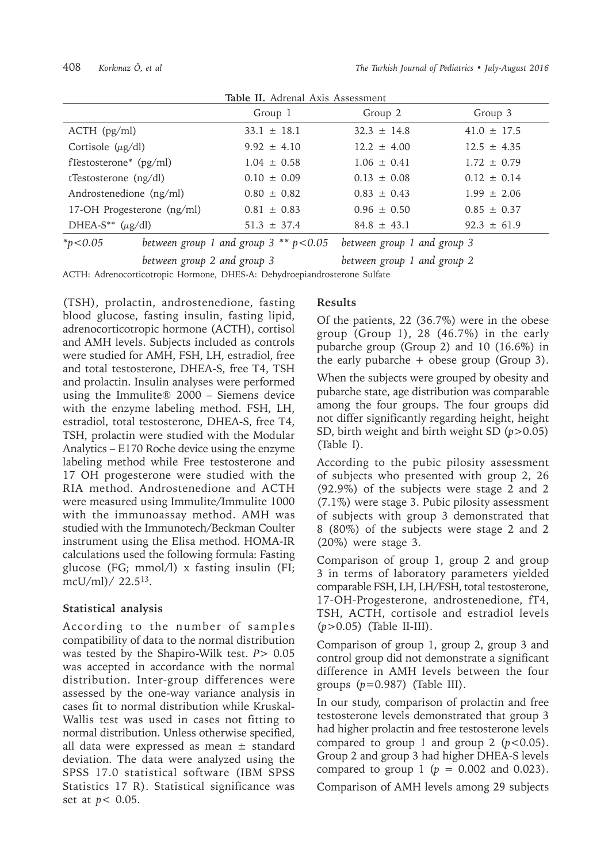| Table II. Autenal AAIS ASSESSINENT |                                             |                             |                 |  |
|------------------------------------|---------------------------------------------|-----------------------------|-----------------|--|
|                                    | Group 1                                     | Group 2                     | Group 3         |  |
| $ACTH$ ( $pg/ml$ )                 | $33.1 \pm 18.1$                             | $32.3 \pm 14.8$             | $41.0 \pm 17.5$ |  |
| Cortisole $(\mu g/dl)$             | $9.92 \pm 4.10$                             | $12.2 \pm 4.00$             | $12.5 \pm 4.35$ |  |
| fTestosterone <sup>*</sup> (pg/ml) | $1.04 \pm 0.58$                             | $1.06 \pm 0.41$             | $1.72 \pm 0.79$ |  |
| tTestosterone $(ng/dl)$            | $0.10 \pm 0.09$                             | $0.13 \pm 0.08$             | $0.12 \pm 0.14$ |  |
| Androstenedione (ng/ml)            | $0.80 \pm 0.82$                             | $0.83 \pm 0.43$             | $1.99 \pm 2.06$ |  |
| 17-OH Progesterone (ng/ml)         | $0.81 \pm 0.83$                             | $0.96 \pm 0.50$             | $0.85 \pm 0.37$ |  |
| DHEA-S** $(\mu g/dl)$              | $51.3 \pm 37.4$                             | $84.8 \pm 43.1$             | $92.3 \pm 61.9$ |  |
| * $p < 0.05$                       | between group 1 and group $3$ ** $p < 0.05$ | between group 1 and group 3 |                 |  |

**Table II.** Adrenal Axis Assessment

*between group 2 and group 3 between group 1 and group 2*

ACTH: Adrenocorticotropic Hormone, DHES-A: Dehydroepiandrosterone Sulfate

(TSH), prolactin, androstenedione, fasting blood glucose, fasting insulin, fasting lipid, adrenocorticotropic hormone (ACTH), cortisol and AMH levels. Subjects included as controls were studied for AMH, FSH, LH, estradiol, free and total testosterone, DHEA-S, free T4, TSH and prolactin. Insulin analyses were performed using the Immulite® 2000 – Siemens device with the enzyme labeling method. FSH, LH, estradiol, total testosterone, DHEA-S, free T4, TSH, prolactin were studied with the Modular Analytics – E170 Roche device using the enzyme labeling method while Free testosterone and 17 OH progesterone were studied with the RIA method. Androstenedione and ACTH were measured using Immulite/Immulite 1000 with the immunoassay method. AMH was studied with the Immunotech/Beckman Coulter instrument using the Elisa method. HOMA-IR calculations used the following formula: Fasting glucose (FG; mmol/l) x fasting insulin (FI; mcU/ml)/ 22.513.

## **Statistical analysis**

According to the number of samples compatibility of data to the normal distribution was tested by the Shapiro-Wilk test. *P*> 0.05 was accepted in accordance with the normal distribution. Inter-group differences were assessed by the one-way variance analysis in cases fit to normal distribution while Kruskal-Wallis test was used in cases not fitting to normal distribution. Unless otherwise specified, all data were expressed as mean  $\pm$  standard deviation. The data were analyzed using the SPSS 17.0 statistical software (IBM SPSS Statistics 17 R). Statistical significance was set at *p*< 0.05.

### **Results**

Of the patients, 22 (36.7%) were in the obese group (Group 1), 28 (46.7%) in the early pubarche group (Group 2) and 10 (16.6%) in the early pubarche  $+$  obese group (Group 3). When the subjects were grouped by obesity and pubarche state, age distribution was comparable among the four groups. The four groups did not differ significantly regarding height, height SD, birth weight and birth weight SD (*p*>0.05) (Table I).

According to the pubic pilosity assessment of subjects who presented with group 2, 26 (92.9%) of the subjects were stage 2 and 2 (7.1%) were stage 3. Pubic pilosity assessment of subjects with group 3 demonstrated that 8 (80%) of the subjects were stage 2 and 2 (20%) were stage 3.

Comparison of group 1, group 2 and group 3 in terms of laboratory parameters yielded comparable FSH, LH, LH/FSH, total testosterone, 17-OH-Progesterone, androstenedione, fT4, TSH, ACTH, cortisole and estradiol levels (*p*>0.05) (Table II-III).

Comparison of group 1, group 2, group 3 and control group did not demonstrate a significant difference in AMH levels between the four groups (*p*=0.987) (Table III).

In our study, comparison of prolactin and free testosterone levels demonstrated that group 3 had higher prolactin and free testosterone levels compared to group 1 and group 2  $(p<0.05)$ . Group 2 and group 3 had higher DHEA-S levels compared to group 1 ( $p = 0.002$  and 0.023).

Comparison of AMH levels among 29 subjects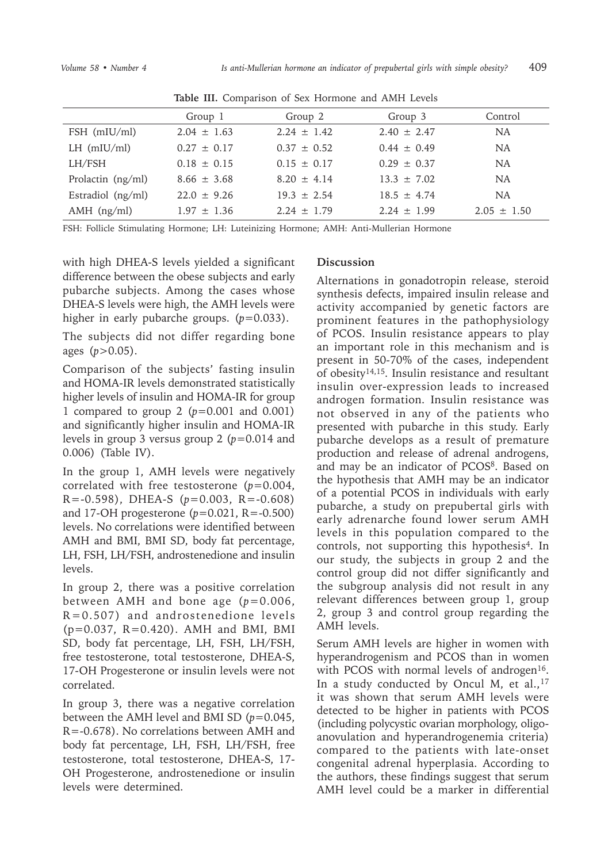|                   | Group 1         | Group 2         | Group 3         | Control         |
|-------------------|-----------------|-----------------|-----------------|-----------------|
| $FSH$ (mIU/ml)    | $2.04 \pm 1.63$ | $2.24 + 1.42$   | $2.40 \pm 2.47$ | <b>NA</b>       |
| LH $(mIU/ml)$     | $0.27 \pm 0.17$ | $0.37 + 0.52$   | $0.44 \pm 0.49$ | <b>NA</b>       |
| LH/FSH            | $0.18 \pm 0.15$ | $0.15 \pm 0.17$ | $0.29 + 0.37$   | NA              |
| Prolactin (ng/ml) | $8.66 \pm 3.68$ | $8.20 + 4.14$   | $13.3 \pm 7.02$ | <b>NA</b>       |
| Estradiol (ng/ml) | $22.0 + 9.26$   | $19.3 \pm 2.54$ | $18.5 + 4.74$   | NA              |
| $AMH$ (ng/ml)     | $1.97 \pm 1.36$ | $2.24 + 1.79$   | $2.24 \pm 1.99$ | $2.05 \pm 1.50$ |

**Table III.** Comparison of Sex Hormone and AMH Levels

FSH: Follicle Stimulating Hormone; LH: Luteinizing Hormone; AMH: Anti-Mullerian Hormone

with high DHEA-S levels yielded a significant difference between the obese subjects and early pubarche subjects. Among the cases whose DHEA-S levels were high, the AMH levels were higher in early pubarche groups. ( $p=0.033$ ).

The subjects did not differ regarding bone ages (*p*>0.05).

Comparison of the subjects' fasting insulin and HOMA-IR levels demonstrated statistically higher levels of insulin and HOMA-IR for group 1 compared to group 2 (*p*=0.001 and 0.001) and significantly higher insulin and HOMA-IR levels in group 3 versus group 2 (*p*=0.014 and 0.006) (Table IV).

In the group 1, AMH levels were negatively correlated with free testosterone (*p*=0.004, R=-0.598), DHEA-S (*p*=0.003, R=-0.608) and 17-OH progesterone (*p*=0.021, R=-0.500) levels. No correlations were identified between AMH and BMI, BMI SD, body fat percentage, LH, FSH, LH/FSH, androstenedione and insulin levels.

In group 2, there was a positive correlation between AMH and bone age (*p*=0.006, R=0.507) and androstenedione levels (p=0.037, R=0.420). AMH and BMI, BMI SD, body fat percentage, LH, FSH, LH/FSH, free testosterone, total testosterone, DHEA-S, 17-OH Progesterone or insulin levels were not correlated.

In group 3, there was a negative correlation between the AMH level and BMI SD (*p*=0.045, R=-0.678). No correlations between AMH and body fat percentage, LH, FSH, LH/FSH, free testosterone, total testosterone, DHEA-S, 17- OH Progesterone, androstenedione or insulin levels were determined.

## **Discussion**

Alternations in gonadotropin release, steroid synthesis defects, impaired insulin release and activity accompanied by genetic factors are prominent features in the pathophysiology of PCOS. Insulin resistance appears to play an important role in this mechanism and is present in 50-70% of the cases, independent of obesity14,15. Insulin resistance and resultant insulin over-expression leads to increased androgen formation. Insulin resistance was not observed in any of the patients who presented with pubarche in this study. Early pubarche develops as a result of premature production and release of adrenal androgens, and may be an indicator of PCOS<sup>8</sup>. Based on the hypothesis that AMH may be an indicator of a potential PCOS in individuals with early pubarche, a study on prepubertal girls with early adrenarche found lower serum AMH levels in this population compared to the controls, not supporting this hypothesis<sup>4</sup>. In our study, the subjects in group 2 and the control group did not differ significantly and the subgroup analysis did not result in any relevant differences between group 1, group 2, group 3 and control group regarding the AMH levels.

Serum AMH levels are higher in women with hyperandrogenism and PCOS than in women with PCOS with normal levels of androgen<sup>16</sup>. In a study conducted by Oncul M, et al., 17 it was shown that serum AMH levels were detected to be higher in patients with PCOS (including polycystic ovarian morphology, oligoanovulation and hyperandrogenemia criteria) compared to the patients with late-onset congenital adrenal hyperplasia. According to the authors, these findings suggest that serum AMH level could be a marker in differential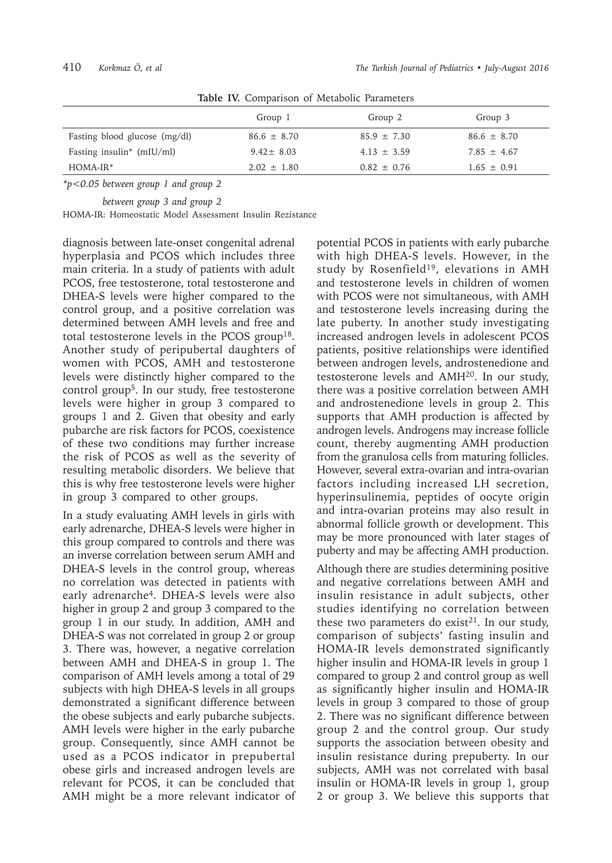|                                       | Group 1         | Group 2         | Group 3         |
|---------------------------------------|-----------------|-----------------|-----------------|
| Fasting blood glucose (mg/dl)         | $86.6 \pm 8.70$ | $85.9 \pm 7.30$ | $86.6 \pm 8.70$ |
| Fasting insulin <sup>*</sup> (mIU/ml) | $9.42 \pm 8.03$ | $4.13 \pm 3.59$ | $7.85 \pm 4.67$ |
| $HOMA-IR*$                            | $2.02 \pm 1.80$ | $0.82 \pm 0.76$ | $1.65 \pm 0.91$ |

**Table IV.** Comparison of Metabolic Parameters

*\*p<0.05 between group 1 and group 2* 

*between group 3 and group 2*

HOMA-IR: Homeostatic Model Assessment Insulin Rezistance

diagnosis between late-onset congenital adrenal hyperplasia and PCOS which includes three main criteria. In a study of patients with adult PCOS, free testosterone, total testosterone and DHEA-S levels were higher compared to the control group, and a positive correlation was determined between AMH levels and free and total testosterone levels in the PCOS group18. Another study of peripubertal daughters of women with PCOS, AMH and testosterone levels were distinctly higher compared to the control group<sup>5</sup>. In our study, free testosterone levels were higher in group 3 compared to groups 1 and 2. Given that obesity and early pubarche are risk factors for PCOS, coexistence of these two conditions may further increase the risk of PCOS as well as the severity of resulting metabolic disorders. We believe that this is why free testosterone levels were higher in group 3 compared to other groups.

In a study evaluating AMH levels in girls with early adrenarche, DHEA-S levels were higher in this group compared to controls and there was an inverse correlation between serum AMH and DHEA-S levels in the control group, whereas no correlation was detected in patients with early adrenarche<sup>4</sup>. DHEA-S levels were also higher in group 2 and group 3 compared to the group 1 in our study. In addition, AMH and DHEA-S was not correlated in group 2 or group 3. There was, however, a negative correlation between AMH and DHEA-S in group 1. The comparison of AMH levels among a total of 29 subjects with high DHEA-S levels in all groups demonstrated a significant difference between the obese subjects and early pubarche subjects. AMH levels were higher in the early pubarche group. Consequently, since AMH cannot be used as a PCOS indicator in prepubertal obese girls and increased androgen levels are relevant for PCOS, it can be concluded that AMH might be a more relevant indicator of

potential PCOS in patients with early pubarche with high DHEA-S levels. However, in the study by Rosenfield19, elevations in AMH and testosterone levels in children of women with PCOS were not simultaneous, with AMH and testosterone levels increasing during the late puberty. In another study investigating increased androgen levels in adolescent PCOS patients, positive relationships were identified between androgen levels, androstenedione and testosterone levels and AMH20. In our study, there was a positive correlation between AMH and androstenedione levels in group 2. This supports that AMH production is affected by androgen levels. Androgens may increase follicle count, thereby augmenting AMH production from the granulosa cells from maturing follicles. However, several extra-ovarian and intra-ovarian factors including increased LH secretion, hyperinsulinemia, peptides of oocyte origin and intra-ovarian proteins may also result in abnormal follicle growth or development. This may be more pronounced with later stages of puberty and may be affecting AMH production.

Although there are studies determining positive and negative correlations between AMH and insulin resistance in adult subjects, other studies identifying no correlation between these two parameters do exist<sup>21</sup>. In our study, comparison of subjects' fasting insulin and HOMA-IR levels demonstrated significantly higher insulin and HOMA-IR levels in group 1 compared to group 2 and control group as well as significantly higher insulin and HOMA-IR levels in group 3 compared to those of group 2. There was no significant difference between group 2 and the control group. Our study supports the association between obesity and insulin resistance during prepuberty. In our subjects, AMH was not correlated with basal insulin or HOMA-IR levels in group 1, group 2 or group 3. We believe this supports that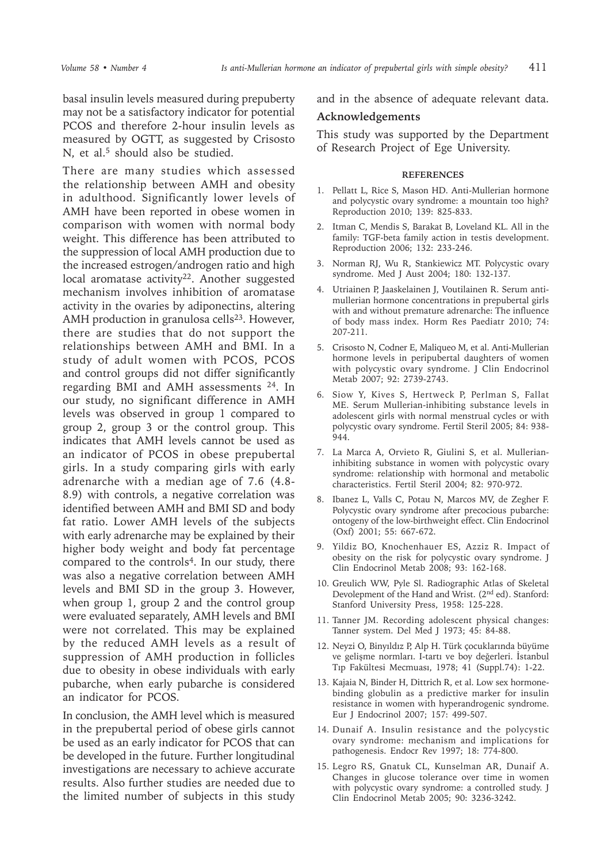basal insulin levels measured during prepuberty may not be a satisfactory indicator for potential PCOS and therefore 2-hour insulin levels as measured by OGTT, as suggested by Crisosto N, et al.<sup>5</sup> should also be studied.

There are many studies which assessed the relationship between AMH and obesity in adulthood. Significantly lower levels of AMH have been reported in obese women in comparison with women with normal body weight. This difference has been attributed to the suppression of local AMH production due to the increased estrogen/androgen ratio and high local aromatase activity<sup>22</sup>. Another suggested mechanism involves inhibition of aromatase activity in the ovaries by adiponectins, altering AMH production in granulosa cells $23$ . However, there are studies that do not support the relationships between AMH and BMI. In a study of adult women with PCOS, PCOS and control groups did not differ significantly regarding BMI and AMH assessments 24. In our study, no significant difference in AMH levels was observed in group 1 compared to group 2, group 3 or the control group. This indicates that AMH levels cannot be used as an indicator of PCOS in obese prepubertal girls. In a study comparing girls with early adrenarche with a median age of 7.6 (4.8- 8.9) with controls, a negative correlation was identified between AMH and BMI SD and body fat ratio. Lower AMH levels of the subjects with early adrenarche may be explained by their higher body weight and body fat percentage compared to the controls<sup>4</sup>. In our study, there was also a negative correlation between AMH levels and BMI SD in the group 3. However, when group 1, group 2 and the control group were evaluated separately, AMH levels and BMI were not correlated. This may be explained by the reduced AMH levels as a result of suppression of AMH production in follicles due to obesity in obese individuals with early pubarche, when early pubarche is considered an indicator for PCOS.

In conclusion, the AMH level which is measured in the prepubertal period of obese girls cannot be used as an early indicator for PCOS that can be developed in the future. Further longitudinal investigations are necessary to achieve accurate results. Also further studies are needed due to the limited number of subjects in this study

and in the absence of adequate relevant data.

#### **Acknowledgements**

This study was supported by the Department of Research Project of Ege University.

#### **REFERENCES**

- 1. Pellatt L, Rice S, Mason HD. Anti-Mullerian hormone and polycystic ovary syndrome: a mountain too high? Reproduction 2010; 139: 825-833.
- 2. Itman C, Mendis S, Barakat B, Loveland KL. All in the family: TGF-beta family action in testis development. Reproduction 2006; 132: 233-246.
- 3. Norman RJ, Wu R, Stankiewicz MT. Polycystic ovary syndrome. Med J Aust 2004; 180: 132-137.
- 4. Utriainen P, Jaaskelainen J, Voutilainen R. Serum antimullerian hormone concentrations in prepubertal girls with and without premature adrenarche: The influence of body mass index. Horm Res Paediatr 2010; 74: 207-211.
- 5. Crisosto N, Codner E, Maliqueo M, et al. Anti-Mullerian hormone levels in peripubertal daughters of women with polycystic ovary syndrome. J Clin Endocrinol Metab 2007; 92: 2739-2743.
- 6. Siow Y, Kives S, Hertweck P, Perlman S, Fallat ME. Serum Mullerian-inhibiting substance levels in adolescent girls with normal menstrual cycles or with polycystic ovary syndrome. Fertil Steril 2005; 84: 938-  $944.$
- 7. La Marca A, Orvieto R, Giulini S, et al. Mullerianinhibiting substance in women with polycystic ovary syndrome: relationship with hormonal and metabolic characteristics. Fertil Steril 2004; 82: 970-972.
- 8. Ibanez L, Valls C, Potau N, Marcos MV, de Zegher F. Polycystic ovary syndrome after precocious pubarche: ontogeny of the low-birthweight effect. Clin Endocrinol (Oxf) 2001; 55: 667-672.
- 9. Yildiz BO, Knochenhauer ES, Azziz R. Impact of obesity on the risk for polycystic ovary syndrome. J Clin Endocrinol Metab 2008; 93: 162-168.
- 10. Greulich WW, Pyle Sl. Radiographic Atlas of Skeletal Devolepment of the Hand and Wrist. (2nd ed). Stanford: Stanford University Press, 1958: 125-228.
- 11. Tanner JM. Recording adolescent physical changes: Tanner system. Del Med J 1973; 45: 84-88.
- 12. Neyzi O, Binyıldız P, Alp H. Türk çocuklarında büyüme ve gelişme normları. I-tartı ve boy değerleri. İstanbul Tıp Fakültesi Mecmuası, 1978; 41 (Suppl.74): 1-22.
- 13. Kajaia N, Binder H, Dittrich R, et al. Low sex hormonebinding globulin as a predictive marker for insulin resistance in women with hyperandrogenic syndrome. Eur J Endocrinol 2007; 157: 499-507.
- 14. Dunaif A. Insulin resistance and the polycystic ovary syndrome: mechanism and implications for pathogenesis. Endocr Rev 1997; 18: 774-800.
- 15. Legro RS, Gnatuk CL, Kunselman AR, Dunaif A. Changes in glucose tolerance over time in women with polycystic ovary syndrome: a controlled study. J Clin Endocrinol Metab 2005; 90: 3236-3242.